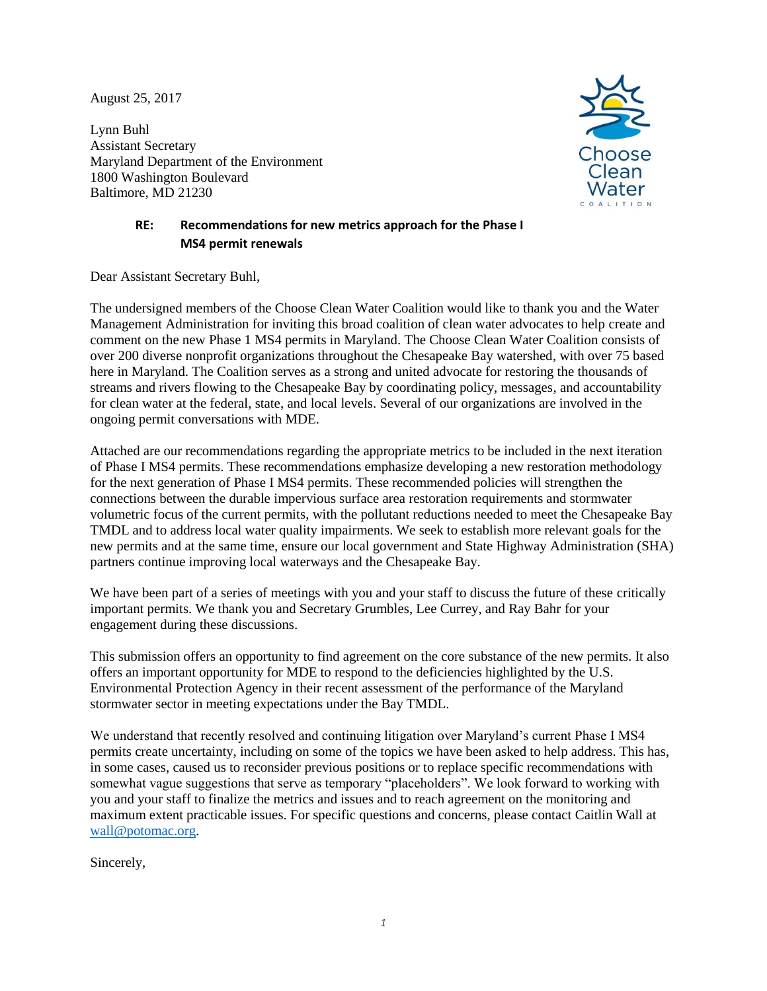August 25, 2017

Lynn Buhl Assistant Secretary Maryland Department of the Environment 1800 Washington Boulevard Baltimore, MD 21230



# **RE: Recommendations for new metrics approach for the Phase I MS4 permit renewals**

Dear Assistant Secretary Buhl,

The undersigned members of the Choose Clean Water Coalition would like to thank you and the Water Management Administration for inviting this broad coalition of clean water advocates to help create and comment on the new Phase 1 MS4 permits in Maryland. The Choose Clean Water Coalition consists of over 200 diverse nonprofit organizations throughout the Chesapeake Bay watershed, with over 75 based here in Maryland. The Coalition serves as a strong and united advocate for restoring the thousands of streams and rivers flowing to the Chesapeake Bay by coordinating policy, messages, and accountability for clean water at the federal, state, and local levels. Several of our organizations are involved in the ongoing permit conversations with MDE.

Attached are our recommendations regarding the appropriate metrics to be included in the next iteration of Phase I MS4 permits. These recommendations emphasize developing a new restoration methodology for the next generation of Phase I MS4 permits. These recommended policies will strengthen the connections between the durable impervious surface area restoration requirements and stormwater volumetric focus of the current permits, with the pollutant reductions needed to meet the Chesapeake Bay TMDL and to address local water quality impairments. We seek to establish more relevant goals for the new permits and at the same time, ensure our local government and State Highway Administration (SHA) partners continue improving local waterways and the Chesapeake Bay.

We have been part of a series of meetings with you and your staff to discuss the future of these critically important permits. We thank you and Secretary Grumbles, Lee Currey, and Ray Bahr for your engagement during these discussions.

This submission offers an opportunity to find agreement on the core substance of the new permits. It also offers an important opportunity for MDE to respond to the deficiencies highlighted by the U.S. Environmental Protection Agency in their recent assessment of the performance of the Maryland stormwater sector in meeting expectations under the Bay TMDL.

We understand that recently resolved and continuing litigation over Maryland's current Phase I MS4 permits create uncertainty, including on some of the topics we have been asked to help address. This has, in some cases, caused us to reconsider previous positions or to replace specific recommendations with somewhat vague suggestions that serve as temporary "placeholders". We look forward to working with you and your staff to finalize the metrics and issues and to reach agreement on the monitoring and maximum extent practicable issues. For specific questions and concerns, please contact Caitlin Wall at wall@potomac.org.

Sincerely,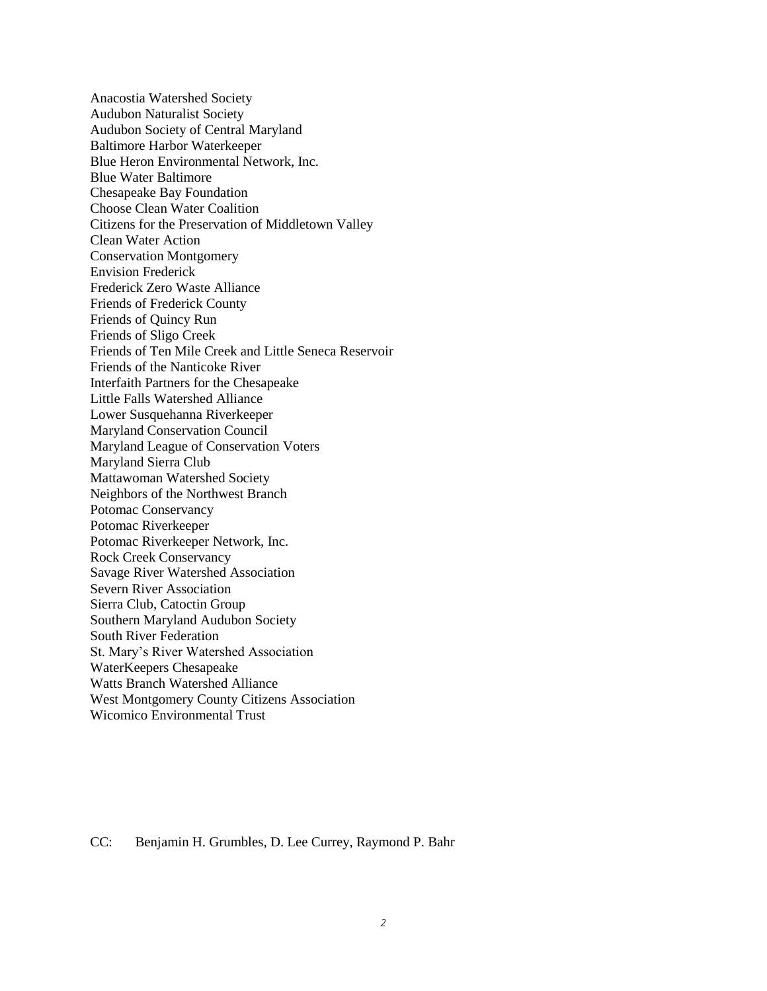Anacostia Watershed Society Audubon Naturalist Society Audubon Society of Central Maryland Baltimore Harbor Waterkeeper Blue Heron Environmental Network, Inc. Blue Water Baltimore Chesapeake Bay Foundation Choose Clean Water Coalition Citizens for the Preservation of Middletown Valley Clean Water Action Conservation Montgomery Envision Frederick Frederick Zero Waste Alliance Friends of Frederick County Friends of Quincy Run Friends of Sligo Creek Friends of Ten Mile Creek and Little Seneca Reservoir Friends of the Nanticoke River Interfaith Partners for the Chesapeake Little Falls Watershed Alliance Lower Susquehanna Riverkeeper Maryland Conservation Council Maryland League of Conservation Voters Maryland Sierra Club Mattawoman Watershed Society Neighbors of the Northwest Branch Potomac Conservancy Potomac Riverkeeper Potomac Riverkeeper Network, Inc. Rock Creek Conservancy Savage River Watershed Association Severn River Association Sierra Club, Catoctin Group Southern Maryland Audubon Society South River Federation St. Mary's River Watershed Association WaterKeepers Chesapeake Watts Branch Watershed Alliance West Montgomery County Citizens Association Wicomico Environmental Trust

#### CC: Benjamin H. Grumbles, D. Lee Currey, Raymond P. Bahr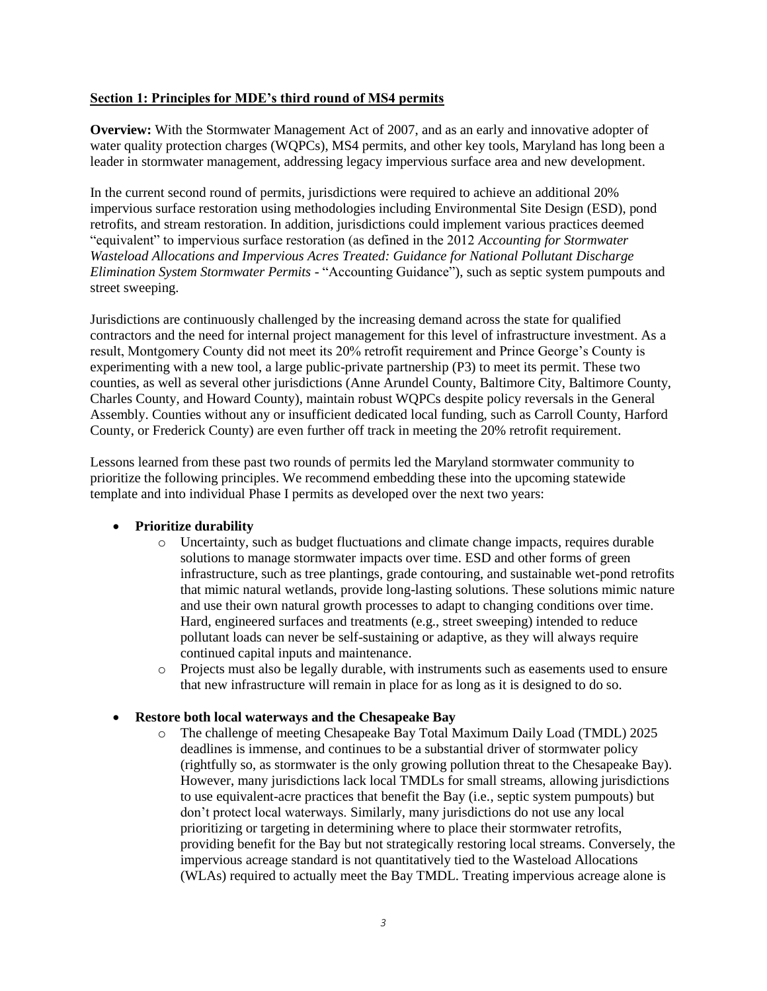# **Section 1: Principles for MDE's third round of MS4 permits**

**Overview:** With the Stormwater Management Act of 2007, and as an early and innovative adopter of water quality protection charges (WQPCs), MS4 permits, and other key tools, Maryland has long been a leader in stormwater management, addressing legacy impervious surface area and new development.

In the current second round of permits, jurisdictions were required to achieve an additional 20% impervious surface restoration using methodologies including Environmental Site Design (ESD), pond retrofits, and stream restoration. In addition, jurisdictions could implement various practices deemed "equivalent" to impervious surface restoration (as defined in the 2012 *Accounting for Stormwater Wasteload Allocations and Impervious Acres Treated: Guidance for National Pollutant Discharge Elimination System Stormwater Permits* - "Accounting Guidance"), such as septic system pumpouts and street sweeping.

Jurisdictions are continuously challenged by the increasing demand across the state for qualified contractors and the need for internal project management for this level of infrastructure investment. As a result, Montgomery County did not meet its 20% retrofit requirement and Prince George's County is experimenting with a new tool, a large public-private partnership (P3) to meet its permit. These two counties, as well as several other jurisdictions (Anne Arundel County, Baltimore City, Baltimore County, Charles County, and Howard County), maintain robust WQPCs despite policy reversals in the General Assembly. Counties without any or insufficient dedicated local funding, such as Carroll County, Harford County, or Frederick County) are even further off track in meeting the 20% retrofit requirement.

Lessons learned from these past two rounds of permits led the Maryland stormwater community to prioritize the following principles. We recommend embedding these into the upcoming statewide template and into individual Phase I permits as developed over the next two years:

# **Prioritize durability**

- o Uncertainty, such as budget fluctuations and climate change impacts, requires durable solutions to manage stormwater impacts over time. ESD and other forms of green infrastructure, such as tree plantings, grade contouring, and sustainable wet-pond retrofits that mimic natural wetlands, provide long-lasting solutions. These solutions mimic nature and use their own natural growth processes to adapt to changing conditions over time. Hard, engineered surfaces and treatments (e.g., street sweeping) intended to reduce pollutant loads can never be self-sustaining or adaptive, as they will always require continued capital inputs and maintenance.
- o Projects must also be legally durable, with instruments such as easements used to ensure that new infrastructure will remain in place for as long as it is designed to do so.

#### **Restore both local waterways and the Chesapeake Bay**

o The challenge of meeting Chesapeake Bay Total Maximum Daily Load (TMDL) 2025 deadlines is immense, and continues to be a substantial driver of stormwater policy (rightfully so, as stormwater is the only growing pollution threat to the Chesapeake Bay). However, many jurisdictions lack local TMDLs for small streams, allowing jurisdictions to use equivalent-acre practices that benefit the Bay (i.e., septic system pumpouts) but don't protect local waterways. Similarly, many jurisdictions do not use any local prioritizing or targeting in determining where to place their stormwater retrofits, providing benefit for the Bay but not strategically restoring local streams. Conversely, the impervious acreage standard is not quantitatively tied to the Wasteload Allocations (WLAs) required to actually meet the Bay TMDL. Treating impervious acreage alone is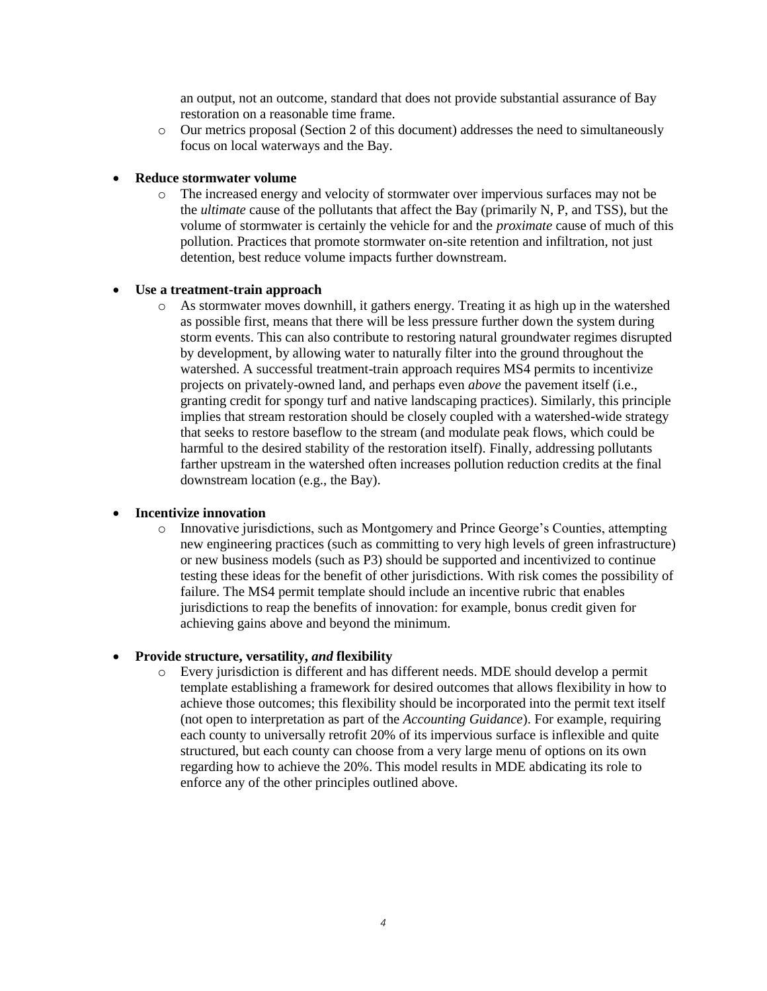an output, not an outcome, standard that does not provide substantial assurance of Bay restoration on a reasonable time frame.

o Our metrics proposal (Section 2 of this document) addresses the need to simultaneously focus on local waterways and the Bay.

## **Reduce stormwater volume**

o The increased energy and velocity of stormwater over impervious surfaces may not be the *ultimate* cause of the pollutants that affect the Bay (primarily N, P, and TSS), but the volume of stormwater is certainly the vehicle for and the *proximate* cause of much of this pollution. Practices that promote stormwater on-site retention and infiltration, not just detention, best reduce volume impacts further downstream.

#### **Use a treatment-train approach**

o As stormwater moves downhill, it gathers energy. Treating it as high up in the watershed as possible first, means that there will be less pressure further down the system during storm events. This can also contribute to restoring natural groundwater regimes disrupted by development, by allowing water to naturally filter into the ground throughout the watershed. A successful treatment-train approach requires MS4 permits to incentivize projects on privately-owned land, and perhaps even *above* the pavement itself (i.e., granting credit for spongy turf and native landscaping practices). Similarly, this principle implies that stream restoration should be closely coupled with a watershed-wide strategy that seeks to restore baseflow to the stream (and modulate peak flows, which could be harmful to the desired stability of the restoration itself). Finally, addressing pollutants farther upstream in the watershed often increases pollution reduction credits at the final downstream location (e.g., the Bay).

# **Incentivize innovation**

o Innovative jurisdictions, such as Montgomery and Prince George's Counties, attempting new engineering practices (such as committing to very high levels of green infrastructure) or new business models (such as P3) should be supported and incentivized to continue testing these ideas for the benefit of other jurisdictions. With risk comes the possibility of failure. The MS4 permit template should include an incentive rubric that enables jurisdictions to reap the benefits of innovation: for example, bonus credit given for achieving gains above and beyond the minimum.

# **Provide structure, versatility,** *and* **flexibility**

o Every jurisdiction is different and has different needs. MDE should develop a permit template establishing a framework for desired outcomes that allows flexibility in how to achieve those outcomes; this flexibility should be incorporated into the permit text itself (not open to interpretation as part of the *Accounting Guidance*). For example, requiring each county to universally retrofit 20% of its impervious surface is inflexible and quite structured, but each county can choose from a very large menu of options on its own regarding how to achieve the 20%. This model results in MDE abdicating its role to enforce any of the other principles outlined above.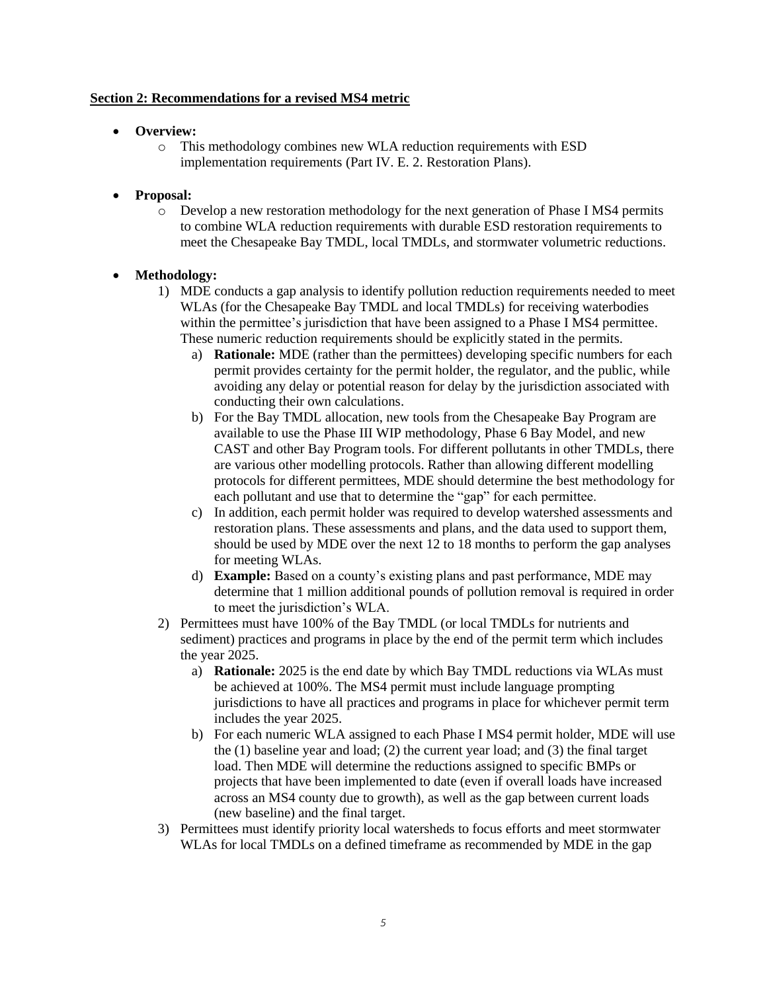## **Section 2: Recommendations for a revised MS4 metric**

- **Overview:**
	- o This methodology combines new WLA reduction requirements with ESD implementation requirements (Part IV. E. 2. Restoration Plans).

## **Proposal:**

o Develop a new restoration methodology for the next generation of Phase I MS4 permits to combine WLA reduction requirements with durable ESD restoration requirements to meet the Chesapeake Bay TMDL, local TMDLs, and stormwater volumetric reductions.

# **Methodology:**

- 1) MDE conducts a gap analysis to identify pollution reduction requirements needed to meet WLAs (for the Chesapeake Bay TMDL and local TMDLs) for receiving waterbodies within the permittee's jurisdiction that have been assigned to a Phase I MS4 permittee. These numeric reduction requirements should be explicitly stated in the permits.
	- a) **Rationale:** MDE (rather than the permittees) developing specific numbers for each permit provides certainty for the permit holder, the regulator, and the public, while avoiding any delay or potential reason for delay by the jurisdiction associated with conducting their own calculations.
	- b) For the Bay TMDL allocation, new tools from the Chesapeake Bay Program are available to use the Phase III WIP methodology, Phase 6 Bay Model, and new CAST and other Bay Program tools. For different pollutants in other TMDLs, there are various other modelling protocols. Rather than allowing different modelling protocols for different permittees, MDE should determine the best methodology for each pollutant and use that to determine the "gap" for each permittee.
	- c) In addition, each permit holder was required to develop watershed assessments and restoration plans. These assessments and plans, and the data used to support them, should be used by MDE over the next 12 to 18 months to perform the gap analyses for meeting WLAs.
	- d) **Example:** Based on a county's existing plans and past performance, MDE may determine that 1 million additional pounds of pollution removal is required in order to meet the jurisdiction's WLA.
- 2) Permittees must have 100% of the Bay TMDL (or local TMDLs for nutrients and sediment) practices and programs in place by the end of the permit term which includes the year 2025.
	- a) **Rationale:** 2025 is the end date by which Bay TMDL reductions via WLAs must be achieved at 100%. The MS4 permit must include language prompting jurisdictions to have all practices and programs in place for whichever permit term includes the year 2025.
	- b) For each numeric WLA assigned to each Phase I MS4 permit holder, MDE will use the (1) baseline year and load; (2) the current year load; and (3) the final target load. Then MDE will determine the reductions assigned to specific BMPs or projects that have been implemented to date (even if overall loads have increased across an MS4 county due to growth), as well as the gap between current loads (new baseline) and the final target.
- 3) Permittees must identify priority local watersheds to focus efforts and meet stormwater WLAs for local TMDLs on a defined timeframe as recommended by MDE in the gap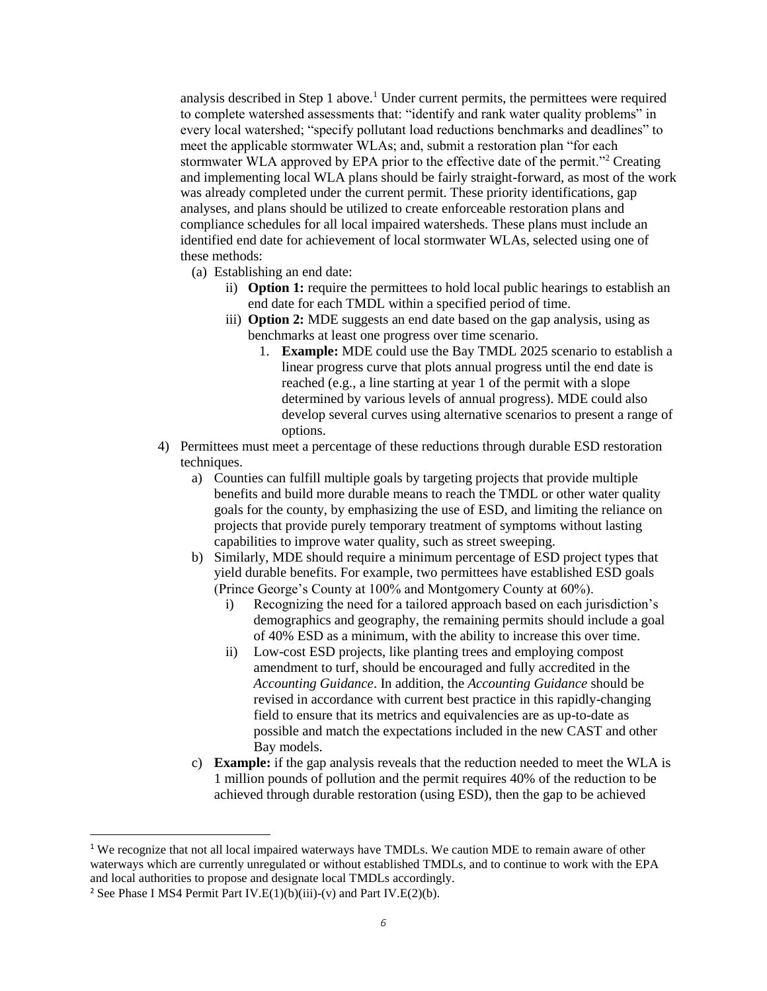analysis described in Step 1 above.<sup>1</sup> Under current permits, the permittees were required to complete watershed assessments that: "identify and rank water quality problems" in every local watershed; "specify pollutant load reductions benchmarks and deadlines" to meet the applicable stormwater WLAs; and, submit a restoration plan "for each stormwater WLA approved by EPA prior to the effective date of the permit."<sup>2</sup> Creating and implementing local WLA plans should be fairly straight-forward, as most of the work was already completed under the current permit. These priority identifications, gap analyses, and plans should be utilized to create enforceable restoration plans and compliance schedules for all local impaired watersheds. These plans must include an identified end date for achievement of local stormwater WLAs, selected using one of these methods:

- (a) Establishing an end date:
	- ii) **Option 1:** require the permittees to hold local public hearings to establish an end date for each TMDL within a specified period of time.
	- iii) **Option 2:** MDE suggests an end date based on the gap analysis, using as benchmarks at least one progress over time scenario.
		- 1. **Example:** MDE could use the Bay TMDL 2025 scenario to establish a linear progress curve that plots annual progress until the end date is reached (e.g., a line starting at year 1 of the permit with a slope determined by various levels of annual progress). MDE could also develop several curves using alternative scenarios to present a range of options.
- 4) Permittees must meet a percentage of these reductions through durable ESD restoration techniques.
	- a) Counties can fulfill multiple goals by targeting projects that provide multiple benefits and build more durable means to reach the TMDL or other water quality goals for the county, by emphasizing the use of ESD, and limiting the reliance on projects that provide purely temporary treatment of symptoms without lasting capabilities to improve water quality, such as street sweeping.
	- b) Similarly, MDE should require a minimum percentage of ESD project types that yield durable benefits. For example, two permittees have established ESD goals (Prince George's County at 100% and Montgomery County at 60%).
		- i) Recognizing the need for a tailored approach based on each jurisdiction's demographics and geography, the remaining permits should include a goal of 40% ESD as a minimum, with the ability to increase this over time.
		- ii) Low-cost ESD projects, like planting trees and employing compost amendment to turf, should be encouraged and fully accredited in the *Accounting Guidance*. In addition, the *Accounting Guidance* should be revised in accordance with current best practice in this rapidly-changing field to ensure that its metrics and equivalencies are as up-to-date as possible and match the expectations included in the new CAST and other Bay models.
	- c) **Example:** if the gap analysis reveals that the reduction needed to meet the WLA is 1 million pounds of pollution and the permit requires 40% of the reduction to be achieved through durable restoration (using ESD), then the gap to be achieved

 $\overline{\phantom{a}}$ 

<sup>&</sup>lt;sup>1</sup> We recognize that not all local impaired waterways have TMDLs. We caution MDE to remain aware of other waterways which are currently unregulated or without established TMDLs, and to continue to work with the EPA and local authorities to propose and designate local TMDLs accordingly.

<sup>&</sup>lt;sup>2</sup> See Phase I MS4 Permit Part IV.E(1)(b)(iii)-(v) and Part IV.E(2)(b).